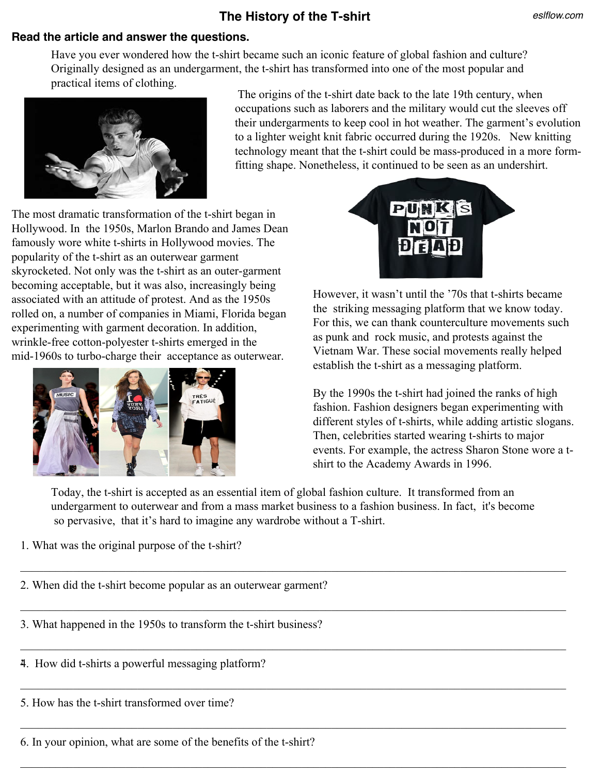## **The History of the T-shirt**

## **Read the article and answer the questions.**

Have you ever wondered how the t-shirt became such an iconic feature of global fashion and culture? Originally designed as an undergarment, the t-shirt has transformed into one of the most popular and practical items of clothing.



The origins of the t-shirt date back to the late 19th century, when occupations such as laborers and the military would cut the sleeves off their undergarments to keep cool in hot weather. The garment's evolution to a lighter weight knit fabric occurred during the 1920s. New knitting technology meant that the t-shirt could be mass-produced in a more formfitting shape. Nonetheless, it continued to be seen as an undershirt.

The most dramatic transformation of the t-shirt began in Hollywood. In the 1950s, Marlon Brando and James Dean famously wore white t-shirts in Hollywood movies. The popularity of the t-shirt as an outerwear garment skyrocketed. Not only was the t-shirt as an outer-garment becoming acceptable, but it was also, increasingly being associated with an attitude of protest. And as the 1950s rolled on, a number of companies in Miami, Florida began experimenting with garment decoration. In addition, wrinkle-free cotton-polyester t-shirts emerged in the mid-1960s to turbo-charge their acceptance as outerwear.





However, it wasn't until the '70s that t-shirts became the striking messaging platform that we know today. For this, we can thank counterculture movements such as punk and rock music, and protests against the Vietnam War. These social movements really helped establish the t-shirt as a messaging platform.

By the 1990s the t-shirt had joined the ranks of high fashion. Fashion designers began experimenting with different styles of t-shirts, while adding artistic slogans. Then, celebrities started wearing t-shirts to major events. For example, the actress Sharon Stone wore a tshirt to the Academy Awards in 1996.

Today, the t-shirt is accepted as an essential item of global fashion culture. It transformed from an undergarment to outerwear and from a mass market business to a fashion business. In fact, it's become so pervasive, that it's hard to imagine any wardrobe without a T-shirt.

 $\_$  , and the contribution of the contribution of the contribution of the contribution of  $\mathcal{L}_\text{max}$ 

 $\_$  , and the contribution of the contribution of the contribution of the contribution of  $\mathcal{L}_\text{max}$ 

 $\mathcal{L}_\mathcal{L} = \mathcal{L}_\mathcal{L} = \mathcal{L}_\mathcal{L} = \mathcal{L}_\mathcal{L} = \mathcal{L}_\mathcal{L} = \mathcal{L}_\mathcal{L} = \mathcal{L}_\mathcal{L} = \mathcal{L}_\mathcal{L} = \mathcal{L}_\mathcal{L} = \mathcal{L}_\mathcal{L} = \mathcal{L}_\mathcal{L} = \mathcal{L}_\mathcal{L} = \mathcal{L}_\mathcal{L} = \mathcal{L}_\mathcal{L} = \mathcal{L}_\mathcal{L} = \mathcal{L}_\mathcal{L} = \mathcal{L}_\mathcal{L}$ 

 $\_$  , and the contribution of the contribution of the contribution of the contribution of  $\mathcal{L}_\text{max}$ 

 $\_$  , and the contribution of the contribution of the contribution of the contribution of  $\mathcal{L}_\text{max}$ 

 $\_$  , and the contribution of the contribution of the contribution of the contribution of  $\mathcal{L}_\text{max}$ 

1. What was the original purpose of the t-shirt?

2. When did the t-shirt become popular as an outerwear garment?

3. What happened in the 1950s to transform the t-shirt business?

**:** 4. How did t-shirts a powerful messaging platform?

5. How has the t-shirt transformed over time?

6. In your opinion, what are some of the benefits of the t-shirt?